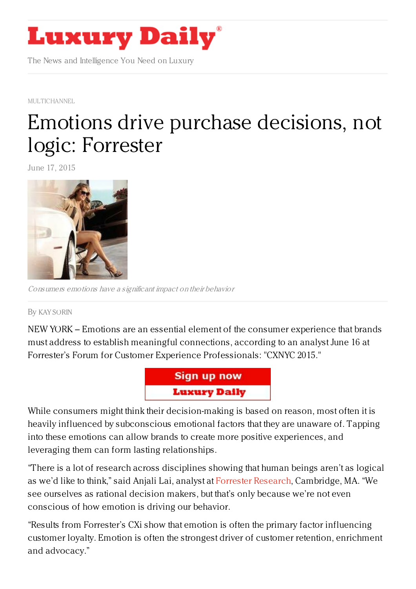

The News and Intelligence You Need on Luxury

[MULTICHANNEL](https://www.luxurydaily.com/category/news/multichannel/)

## Emotions drive purchase [decisions,](https://www.luxurydaily.com/emotions-drive-purchase-decisions-not-logic-forrester/) not logic: Forrester

June 17, 2015



Consumers emotions have <sup>a</sup> significant impact on their behavior

By KAY [SORIN](/author/kay-sorin)

NEW YORK – Emotions are an essential element of the consumer experience that brands must address to establish meaningful connections, according to an analyst June 16 at Forrester's Forum for Customer Experience Professionals: "CXNYC 2015."



While consumers might think their decision-making is based on reason, most often it is heavily influenced by subconscious emotional factors that they are unaware of. Tapping into these emotions can allow brands to create more positive experiences, and leveraging them can form lasting relationships.

"There is a lot of research across disciplines showing that human beings aren't as logical as we'd like to think," said Anjali Lai, analyst at Forrester [Research](https://www.forrester.com/home/), Cambridge, MA. "We see ourselves as rational decision makers, but that's only because we're not even conscious of how emotion is driving our behavior.

"Results from Forrester's CXi show that emotion is often the primary factor influencing customer loyalty. Emotion is often the strongest driver of customer retention, enrichment and advocacy."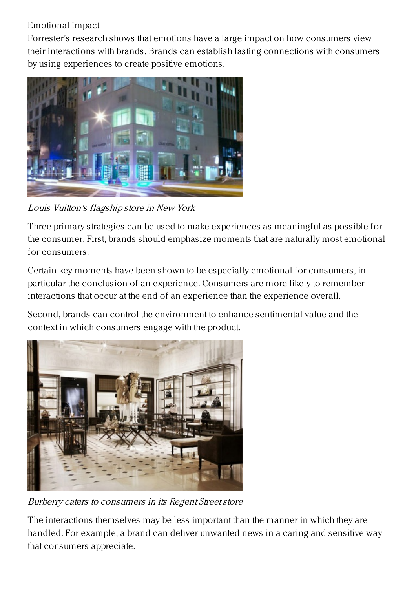## Emotional impact

Forrester's research shows that emotions have a large impact on how consumers view their interactions with brands. Brands can establish lasting connections with consumers by using experiences to create positive emotions.



Louis Vuitton's flagship store in New York

Three primary strategies can be used to make experiences as meaningful as possible for the consumer. First, brands should emphasize moments that are naturally most emotional for consumers.

Certain key moments have been shown to be especially emotional for consumers, in particular the conclusion of an experience. Consumers are more likely to remember interactions that occur at the end of an experience than the experience overall.

Second, brands can control the environment to enhance sentimental value and the context in which consumers engage with the product.



Burberry caters to consumers in its Regent Streetstore

The interactions themselves may be less important than the manner in which they are handled. For example, a brand can deliver unwanted news in a caring and sensitive way that consumers appreciate.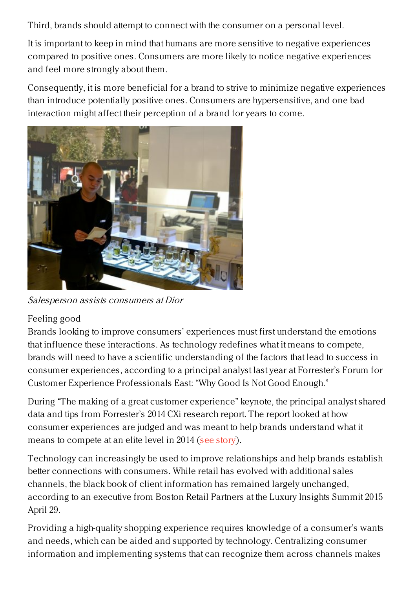Third, brands should attempt to connect with the consumer on a personal level.

It is important to keep in mind that humans are more sensitive to negative experiences compared to positive ones. Consumers are more likely to notice negative experiences and feel more strongly about them.

Consequently, it is more beneficial for a brand to strive to minimize negative experiences than introduce potentially positive ones. Consumers are hypersensitive, and one bad interaction might affect their perception of a brand for years to come.



Salesperson assists consumers at Dior

## Feeling good

Brands looking to improve consumers' experiences must first understand the emotions that influence these interactions. As technology redefines what it means to compete, brands will need to have a scientific understanding of the factors that lead to success in consumer experiences, according to a principal analyst last year at Forrester's Forum for Customer Experience Professionals East: "Why Good Is Not Good Enough."

During "The making of a great customer experience" keynote, the principal analyst shared data and tips from Forrester's 2014 CXi research report. The report looked at how consumer experiences are judged and was meant to help brands understand what it means to compete at an elite level in 2014 (see [story](https://www.luxurydaily.com/emotion-generated-through-consumer-experience-drives-brand-loyalty/)).

Technology can increasingly be used to improve relationships and help brands establish better connections with consumers. While retail has evolved with additional sales channels, the black book of client information has remained largely unchanged, according to an executive from Boston Retail Partners at the Luxury Insights Summit 2015 April 29.

Providing a high-quality shopping experience requires knowledge of a consumer's wants and needs, which can be aided and supported by technology. Centralizing consumer information and implementing systems that can recognize them across channels makes